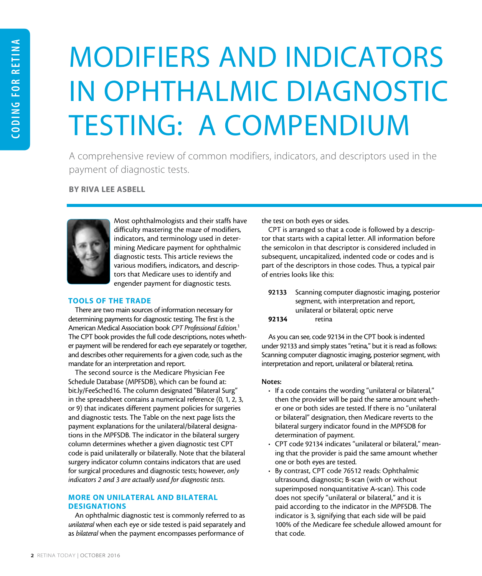# MODIFIERS AND INDICATORS IN OPHTHALMIC DIAGNOSTIC TESTING: A COMPENDIUM

A comprehensive review of common modifiers, indicators, and descriptors used in the payment of diagnostic tests.

#### BY RIVA LEE ASBELL



Most ophthalmologists and their staffs have difficulty mastering the maze of modifiers, indicators, and terminology used in determining Medicare payment for ophthalmic diagnostic tests. This article reviews the various modifiers, indicators, and descriptors that Medicare uses to identify and engender payment for diagnostic tests.

#### TOOLS OF THE TRADE

There are two main sources of information necessary for determining payments for diagnostic testing. The first is the American Medical Association book *CPT Professional Edition*. 1 The CPT book provides the full code descriptions, notes whether payment will be rendered for each eye separately or together, and describes other requirements for a given code, such as the mandate for an interpretation and report.

The second source is the Medicare Physician Fee Schedule Database (MPFSDB), which can be found at: bit.ly/FeeSched16. The column designated "Bilateral Surg" in the spreadsheet contains a numerical reference (0, 1, 2, 3, or 9) that indicates different payment policies for surgeries and diagnostic tests. The Table on the next page lists the payment explanations for the unilateral/bilateral designations in the MPFSDB. The indicator in the bilateral surgery column determines whether a given diagnostic test CPT code is paid unilaterally or bilaterally. Note that the bilateral surgery indicator column contains indicators that are used for surgical procedures and diagnostic tests; however, *only indicators 2 and 3 are actually used for diagnostic tests*.

## MORE ON UNILATERAL AND BILATERAL **DESIGNATIONS**

An ophthalmic diagnostic test is commonly referred to as *unilateral* when each eye or side tested is paid separately and as *bilateral* when the payment encompasses performance of

the test on both eyes or sides.

CPT is arranged so that a code is followed by a descriptor that starts with a capital letter. All information before the semicolon in that descriptor is considered included in subsequent, uncapitalized, indented code or codes and is part of the descriptors in those codes. Thus, a typical pair of entries looks like this:

|       | 92133 Scanning computer diagnostic imaging, posterior |
|-------|-------------------------------------------------------|
|       | segment, with interpretation and report,              |
|       | unilateral or bilateral; optic nerve                  |
| 92134 | retina                                                |

As you can see, code 92134 in the CPT book is indented under 92133 and simply states "retina," but it is read as follows: Scanning computer diagnostic imaging, posterior segment, with interpretation and report, unilateral or bilateral; retina.

#### Notes:

- If a code contains the wording "unilateral or bilateral," then the provider will be paid the same amount whether one or both sides are tested. If there is no "unilateral or bilateral" designation, then Medicare reverts to the bilateral surgery indicator found in the MPFSDB for determination of payment.
- CPT code 92134 indicates "unilateral or bilateral," meaning that the provider is paid the same amount whether one or both eyes are tested.
- By contrast, CPT code 76512 reads: Ophthalmic ultrasound, diagnostic; B-scan (with or without superimposed nonquantitative A-scan). This code does not specify "unilateral or bilateral," and it is paid according to the indicator in the MPFSDB. The indicator is 3, signifying that each side will be paid 100% of the Medicare fee schedule allowed amount for that code.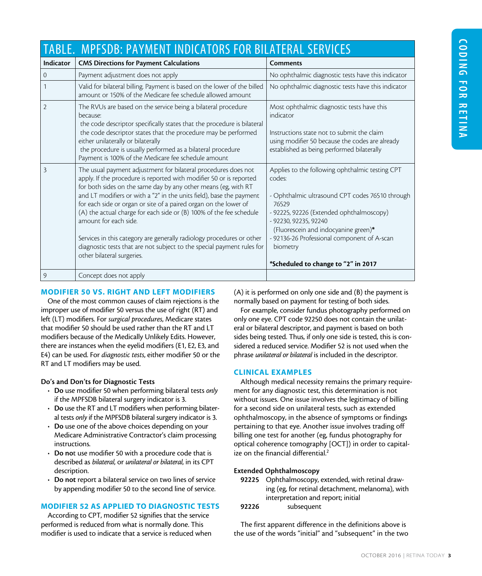#### TABLE. MPFSDB: PAYMENT INDICATORS FOR BILATERAL SERVICES Indicator | CMS Directions for Payment Calculations | Comments 0 Payment adjustment does not apply  $\Box$  No ophthalmic diagnostic tests have this indicator 1 Valid for bilateral billing. Payment is based on the lower of the billed amount or 150% of the Medicare fee schedule allowed amount No ophthalmic diagnostic tests have this indicator 2 The RVUs are based on the service being a bilateral procedure because: the code descriptor specifically states that the procedure is bilateral the code descriptor states that the procedure may be performed either unilaterally or bilaterally the procedure is usually performed as a bilateral procedure Payment is 100% of the Medicare fee schedule amount Most ophthalmic diagnostic tests have this indicator Instructions state not to submit the claim using modifier 50 because the codes are already established as being performed bilaterally 3 The usual payment adjustment for bilateral procedures does not apply. If the procedure is reported with modifier 50 or is reported for both sides on the same day by any other means (eg, with RT and LT modifiers or with a "2" in the units field), base the payment for each side or organ or site of a paired organ on the lower of (A) the actual charge for each side or (B) 100% of the fee schedule amount for each side. Services in this category are generally radiology procedures or other diagnostic tests that are not subject to the special payment rules for other bilateral surgeries. Applies to the following ophthalmic testing CPT codes: - Ophthalmic ultrasound CPT codes 76510 through 76529 - 92225, 92226 (Extended ophthalmoscopy) - 92230, 92235, 92240 (Fluorescein and indocyanine green)\* - 92136-26 Professional component of A-scan biometry \*Scheduled to change to "2" in 2017 9 Concept does not apply

## MODIFIER 50 VS. RIGHT AND LEFT MODIFIERS

One of the most common causes of claim rejections is the improper use of modifier 50 versus the use of right (RT) and left (LT) modifiers. For *surgical procedures*, Medicare states that modifier 50 should be used rather than the RT and LT modifiers because of the Medically Unlikely Edits. However, there are instances when the eyelid modifiers (E1, E2, E3, and E4) can be used. For *diagnostic tests*, either modifier 50 or the RT and LT modifiers may be used.

## Do's and Don'ts for Diagnostic Tests

- Do use modifier 50 when performing bilateral tests *only* if the MPFSDB bilateral surgery indicator is 3.
- Do use the RT and LT modifiers when performing bilateral tests *only* if the MPFSDB bilateral surgery indicator is 3.
- Do use one of the above choices depending on your Medicare Administrative Contractor's claim processing instructions.
- Do not use modifier 50 with a procedure code that is described as *bilateral*, or *unilateral or bilateral*, in its CPT description.
- Do not report a bilateral service on two lines of service by appending modifier 50 to the second line of service.

## MODIFIER 52 AS APPLIED TO DIAGNOSTIC TESTS

According to CPT, modifier 52 signifies that the service performed is reduced from what is normally done. This modifier is used to indicate that a service is reduced when (A) it is performed on only one side and (B) the payment is normally based on payment for testing of both sides.

For example, consider fundus photography performed on only one eye. CPT code 92250 does not contain the unilateral or bilateral descriptor, and payment is based on both sides being tested. Thus, if only one side is tested, this is considered a reduced service. Modifier 52 is not used when the phrase *unilateral or bilateral* is included in the descriptor.

## CLINICAL EXAMPLES

Although medical necessity remains the primary requirement for any diagnostic test, this determination is not without issues. One issue involves the legitimacy of billing for a second side on unilateral tests, such as extended ophthalmoscopy, in the absence of symptoms or findings pertaining to that eye. Another issue involves trading off billing one test for another (eg, fundus photography for optical coherence tomography [OCT]) in order to capitalize on the financial differential.<sup>2</sup>

## Extended Ophthalmoscopy

- 92225 Ophthalmoscopy, extended, with retinal drawing (eg, for retinal detachment, melanoma), with interpretation and report; initial
- 92226 subsequent

The first apparent difference in the definitions above is the use of the words "initial" and "subsequent" in the two